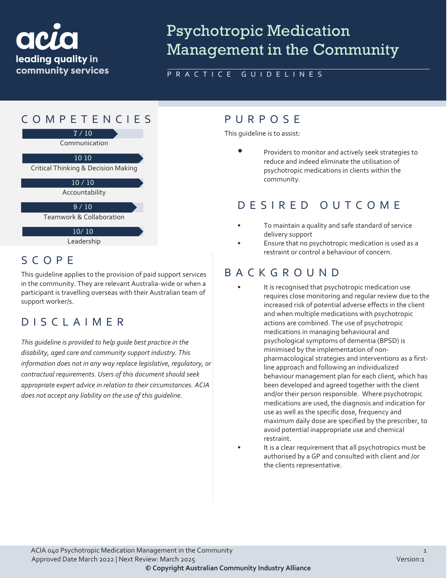

# Psychotropic Medication Management in the Community

#### PRACTICE GUIDELINES



## SCOPE

This guideline applies to the provision of paid support services in the community. They are relevant Australia-wide or when a participant is travelling overseas with their Australian team of support worker/s.

#### DISCLAIMER

*This guideline is provided to help guide best practice in the disability, aged care and community support industry. This information does not in any way replace legislative, regulatory, or contractual requirements. Users of this document should seek appropriate expert advice in relation to their circumstances. ACIA does not accept any liability on the use of this guideline.*

This guideline is to assist:

• Providers to monitor and actively seek strategies to reduce and indeed eliminate the utilisation of psychotropic medications in clients within the community.

#### DESIRED OUTCOME

- To maintain a quality and safe standard of service delivery support
- Ensure that no psychotropic medication is used as a restraint or control a behaviour of concern.

#### BACKGROUND

- It is recognised that psychotropic medication use requires close monitoring and regular review due to the increased risk of potential adverse effects in the client and when multiple medications with psychotropic actions are combined. The use of psychotropic medications in managing behavioural and psychological symptoms of dementia (BPSD) is minimised by the implementation of nonpharmacological strategies and interventions as a firstline approach and following an individualized behaviour management plan for each client, which has been developed and agreed together with the client and/or their person responsible. Where psychotropic medications are used, the diagnosis and indication for use as well as the specific dose, frequency and maximum daily dose are specified by the prescriber, to avoid potential inappropriate use and chemical restraint.
- It is a clear requirement that all psychotropics must be authorised by a GP and consulted with client and /or the clients representative.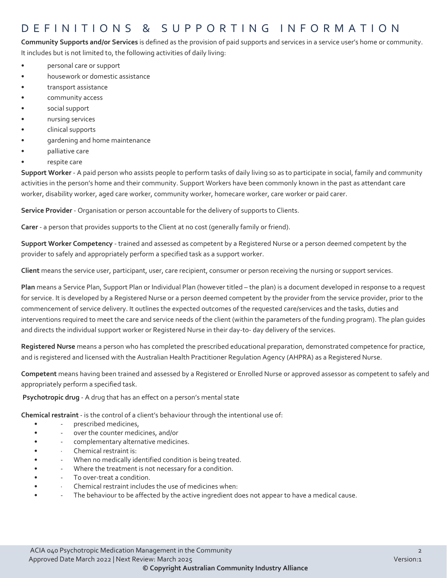#### DEFINITIONS & SUPPORTING INFORMATIO N

**Community Supports and/or Services** is defined as the provision of paid supports and services in a service user's home or community. It includes but is not limited to, the following activities of daily living:

- personal care or support
- housework or domestic assistance
- transport assistance
- community access
- social support
- nursing services
- clinical supports
- gardening and home maintenance
- palliative care
- respite care

**Support Worker** - A paid person who assists people to perform tasks of daily living so as to participate in social, family and community activities in the person's home and their community. Support Workers have been commonly known in the past as attendant care worker, disability worker, aged care worker, community worker, homecare worker, care worker or paid carer.

**Service Provider** - Organisation or person accountable for the delivery of supports to Clients.

**Carer** - a person that provides supports to the Client at no cost (generally family or friend).

**Support Worker Competency** - trained and assessed as competent by a Registered Nurse or a person deemed competent by the provider to safely and appropriately perform a specified task as a support worker.

**Client** means the service user, participant, user, care recipient, consumer or person receiving the nursing or support services.

**Plan** means a Service Plan, Support Plan or Individual Plan (however titled – the plan) is a document developed in response to a request for service. It is developed by a Registered Nurse or a person deemed competent by the provider from the service provider, prior to the commencement of service delivery. It outlines the expected outcomes of the requested care/services and the tasks, duties and interventions required to meet the care and service needs of the client (within the parameters of the funding program). The plan guides and directs the individual support worker or Registered Nurse in their day-to- day delivery of the services.

**Registered Nurse** means a person who has completed the prescribed educational preparation, demonstrated competence for practice, and is registered and licensed with the Australian Health Practitioner Regulation Agency (AHPRA) as a Registered Nurse.

**Competent** means having been trained and assessed by a Registered or Enrolled Nurse or approved assessor as competent to safely and appropriately perform a specified task.

**Psychotropic drug** - A drug that has an effect on a person's mental state

**Chemical restraint** - is the control of a client's behaviour through the intentional use of:

- prescribed medicines,
- - over the counter medicines, and/or
- **· · · · · complementary alternative medicines.**
- Chemical restraint is:
- - When no medically identified condition is being treated.
- Where the treatment is not necessary for a condition.
- To over-treat a condition.
- Chemical restraint includes the use of medicines when:
- The behaviour to be affected by the active ingredient does not appear to have a medical cause.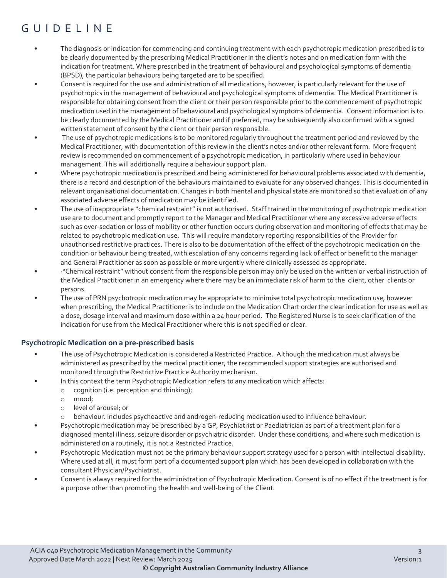# GUIDELI N E

- The diagnosis or indication for commencing and continuing treatment with each psychotropic medication prescribed is to be clearly documented by the prescribing Medical Practitioner in the client's notes and on medication form with the indication for treatment. Where prescribed in the treatment of behavioural and psychological symptoms of dementia (BPSD), the particular behaviours being targeted are to be specified.
- Consent is required for the use and administration of all medications, however, is particularly relevant for the use of psychotropics in the management of behavioural and psychological symptoms of dementia. The Medical Practitioner is responsible for obtaining consent from the client or their person responsible prior to the commencement of psychotropic medication used in the management of behavioural and psychological symptoms of dementia. Consent information is to be clearly documented by the Medical Practitioner and if preferred, may be subsequently also confirmed with a signed written statement of consent by the client or their person responsible.
- The use of psychotropic medications is to be monitored regularly throughout the treatment period and reviewed by the Medical Practitioner, with documentation of this review in the client's notes and/or other relevant form. More frequent review is recommended on commencement of a psychotropic medication, in particularly where used in behaviour management. This will additionally require a behaviour support plan.
- Where psychotropic medication is prescribed and being administered for behavioural problems associated with dementia, there is a record and description of the behaviours maintained to evaluate for any observed changes. This is documented in relevant organisational documentation. Changes in both mental and physical state are monitored so that evaluation of any associated adverse effects of medication may be identified.
- The use of inappropriate "chemical restraint" is not authorised. Staff trained in the monitoring of psychotropic medication use are to document and promptly report to the Manager and Medical Practitioner where any excessive adverse effects such as over-sedation or loss of mobility or other function occurs during observation and monitoring of effects that may be related to psychotropic medication use. This will require mandatory reporting responsibilities of the Provider for unauthorised restrictive practices. There is also to be documentation of the effect of the psychotropic medication on the condition or behaviour being treated, with escalation of any concerns regarding lack of effect or benefit to the manager and General Practitioner as soon as possible or more urgently where clinically assessed as appropriate.
- ·"Chemical restraint" without consent from the responsible person may only be used on the written or verbal instruction of the Medical Practitioner in an emergency where there may be an immediate risk of harm to the client, other clients or persons.
- The use of PRN psychotropic medication may be appropriate to minimise total psychotropic medication use, however when prescribing, the Medical Practitioner is to include on the Medication Chart order the clear indication for use as well as a dose, dosage interval and maximum dose within a 24 hour period. The Registered Nurse is to seek clarification of the indication for use from the Medical Practitioner where this is not specified or clear.

#### **Psychotropic Medication on a pre-prescribed basis**

- The use of Psychotropic Medication is considered a Restricted Practice. Although the medication must always be administered as prescribed by the medical practitioner, the recommended support strategies are authorised and monitored through the Restrictive Practice Authority mechanism.
- In this context the term Psychotropic Medication refers to any medication which affects:
	- o cognition (i.e. perception and thinking);
	- o mood;
	- o level of arousal; or
	- o behaviour. Includes psychoactive and androgen-reducing medication used to influence behaviour.
- Psychotropic medication may be prescribed by a GP, Psychiatrist or Paediatrician as part of a treatment plan for a diagnosed mental illness, seizure disorder or psychiatric disorder. Under these conditions, and where such medication is administered on a routinely, it is not a Restricted Practice.
- Psychotropic Medication must not be the primary behaviour support strategy used for a person with intellectual disability. Where used at all, it must form part of a documented support plan which has been developed in collaboration with the consultant Physician/Psychiatrist.
- Consent is always required for the administration of Psychotropic Medication. Consent is of no effect if the treatment is for a purpose other than promoting the health and well-being of the Client.